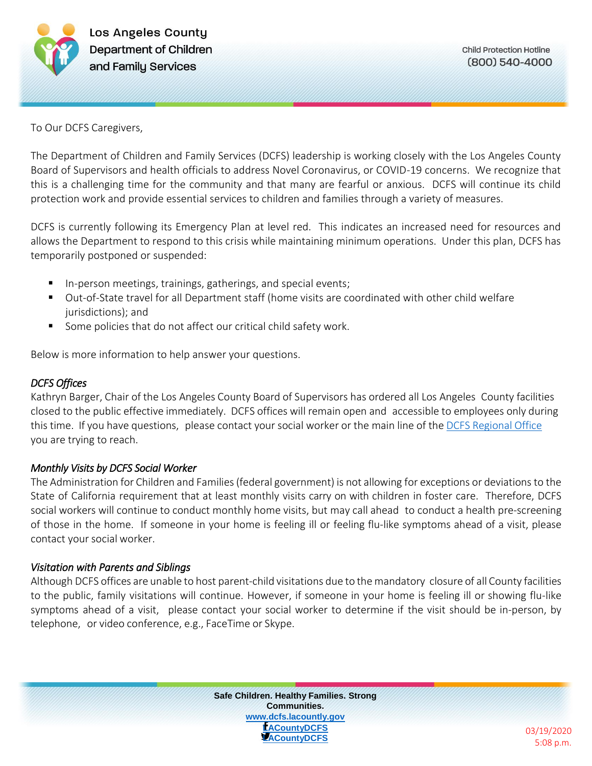

To Our DCFS Caregivers,

The Department of Children and Family Services (DCFS) leadership is working closely with the Los Angeles County Board of Supervisors and health officials to address Novel Coronavirus, or COVID-19 concerns. We recognize that this is a challenging time for the community and that many are fearful or anxious. DCFS will continue its child protection work and provide essential services to children and families through a variety of measures.

DCFS is currently following its Emergency Plan at level red. This indicates an increased need for resources and allows the Department to respond to this crisis while maintaining minimum operations. Under this plan, DCFS has temporarily postponed or suspended:

- **IFM-1.** In-person meetings, trainings, gatherings, and special events;
- Out-of-State travel for all Department staff (home visits are coordinated with other child welfare jurisdictions); and
- Some policies that do not affect our critical child safety work.

Below is more information to help answer your questions.

### *DCFS Offices*

Kathryn Barger, Chair of the Los Angeles County Board of Supervisors has ordered all Los Angeles County facilities closed to the public effective immediately. DCFS offices will remain open and accessible to employees only during this time. If you have questions, please contact your social worker or the main line of the DCFS [Regional](https://dcfs.lacounty.gov/contact/regional-offices/) Office you are trying to reach.

### *Monthly Visits by DCFS Social Worker*

The Administration for Children and Families(federal government) is not allowing for exceptions or deviationsto the State of California requirement that at least monthly visits carry on with children in foster care. Therefore, DCFS social workers will continue to conduct monthly home visits, but may call ahead to conduct a health pre-screening of those in the home. If someone in your home is feeling ill or feeling flu-like symptoms ahead of a visit, please contact your social worker.

### *Visitation with Parents and Siblings*

Although DCFS offices are unable to host parent-child visitations due to the mandatory closure of all County facilities to the public, family visitations will continue. However, if someone in your home is feeling ill or showing flu-like symptoms ahead of a visit, please contact your social worker to determine if the visit should be in-person, by telephone, or video conference, e.g., FaceTime or Skype.



03/19/2020 5:08 p.m.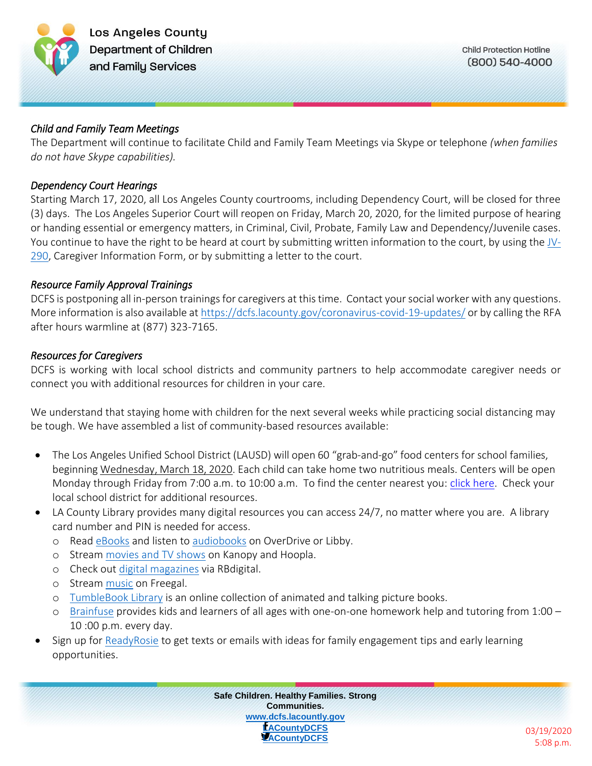

## *Child and Family Team Meetings*

The Department will continue to facilitate Child and Family Team Meetings via Skype or telephone *(when families do not have Skype capabilities).*

## *Dependency Court Hearings*

Starting March 17, 2020, all Los Angeles County courtrooms, including Dependency Court, will be closed for three (3) days. The Los Angeles Superior Court will reopen on Friday, March 20, 2020, for the limited purpose of hearing or handing essential or emergency matters, in Criminal, Civil, Probate, Family Law and Dependency/Juvenile cases. You continue to have the right to be heard at court by submitting written information to the court, by using the [JV-](http://www.courts.ca.gov/documents/jv290.pdf)[290,](http://www.courts.ca.gov/documents/jv290.pdf) Caregiver Information Form, or by submitting a letter to the court.

# *Resource Family Approval Trainings*

DCFS is postponing all in-person trainings for caregivers at this time. Contact your social worker with any questions. More information is also available a[t https://dcfs.lacounty.gov/coronavirus-covid-19-updates/](https://dcfs.lacounty.gov/coronavirus-covid-19-updates/) or by calling the RFA after hours warmline at (877) 323-7165.

# *Resources for Caregivers*

DCFS is working with local school districts and community partners to help accommodate caregiver needs or connect you with additional resources for children in your care.

We understand that staying home with children for the next several weeks while practicing social distancing may be tough. We have assembled a list of community-based resources available:

- The Los Angeles Unified School District (LAUSD) will open 60 "grab-and-go" food centers for school families, beginning Wednesday, March 18, 2020. Each child can take home two nutritious meals. Centers will be open Monday through Friday from 7:00 a.m. to 10:00 a.m. To find the center nearest you: [click here.](https://achieve.lausd.net/resources) Check your local school district for additional resources.
- LA County Library provides many digital resources you can access 24/7, no matter where you are. A library card number and PIN is needed for access.
	- o Read [eBooks](https://lacountylibrary.org/ebooks/) and listen to [audiobooks](https://lacountylibrary.org/audiobooks/) on OverDrive or Libby.
	- o Stream [movies and TV shows](https://lacountylibrary.org/movies-tv/) on Kanopy and Hoopla.
	- o Check out [digital magazines](https://lacountylibrary.org/digital-magazines/) via RBdigital.
	- o Stream [music](https://lacountylibrary.org/music/) on Freegal.
	- o [TumbleBook Library](https://www.tumblebooklibrary.com/Home.aspx?categoryID=77) is an online collection of animated and talking picture books.
	- o [Brainfuse](http://main.lacounty.ca.brainfuse.com/authenticate.asp) provides kids and learners of all ages with one-on-one homework help and tutoring from 1:00 10 :00 p.m. every day.
- Sign up fo[r ReadyRosie](https://readyrosie.com/lacountylibrary/) to get texts or emails with ideas for family engagement tips and early learning opportunities.



03/19/2020 5:08 p.m.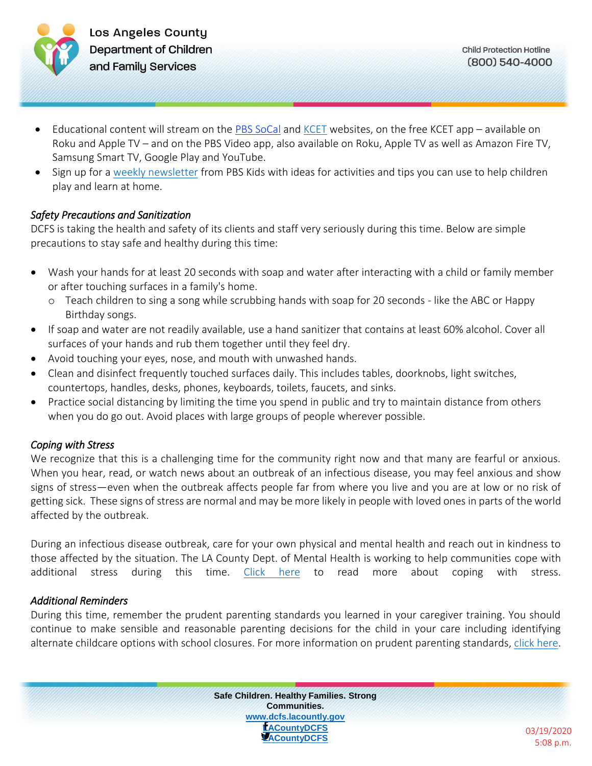

- Educational content will stream on the [PBS SoCal](https://pbskids.org/) and [KCET](https://www.kcet.org/) websites, on the free KCET app available on Roku and Apple TV – and on the PBS Video app, also available on Roku, Apple TV as well as Amazon Fire TV, Samsung Smart TV, Google Play and YouTube.
- Sign up for a [weekly newsletter](http://public.pbs.org/PBSKIDSDaily?source=pbskids.org) from PBS Kids with ideas for activities and tips you can use to help children play and learn at home.

## *Safety Precautions and Sanitization*

DCFS is taking the health and safety of its clients and staff very seriously during this time.Below are simple precautions to stay safe and healthy during this time:

- Wash your hands for at least 20 seconds with soap and water after interacting with a child or family member or after touching surfaces in a family's home.
	- o Teach children to sing a song while scrubbing hands with soap for 20 seconds like the ABC or Happy Birthday songs.
- If soap and water are not readily available, use a hand sanitizer that contains at least 60% alcohol. Cover all surfaces of your hands and rub them together until they feel dry.
- Avoid touching your eyes, nose, and mouth with unwashed hands.
- Clean and disinfect [frequently touched surfaces](https://www.cdc.gov/coronavirus/2019-ncov/community/home/cleaning-disinfection.html) daily. This includes tables, doorknobs, light switches, countertops, handles, desks, phones, keyboards, toilets, faucets, and sinks.
- Practice social distancing by limiting the time you spend in public and try to maintain distance from others when you do go out. Avoid places with large groups of people wherever possible.

# *Coping with Stress*

We recognize that this is a challenging time for the community right now and that many are fearful or anxious. When you hear, read, or watch news about an outbreak of an infectious disease, you may feel anxious and show signs of stress—even when the outbreak affects people far from where you live and you are at low or no risk of getting sick. These signs of stress are normal and may be more likely in people with loved ones in parts of the world affected by the outbreak.

During an infectious disease outbreak, care for your own physical and mental health and reach out in kindness to those affected by the situation. The LA County Dept. of Mental Health is working to help communities cope with additional stress during this time. [Click here](https://dmh.lacounty.gov/covid-19-information/) to read more about coping with stress.

# *Additional Reminders*

During this time, remember the prudent parenting standards you learned in your caregiver training. You should continue to make sensible and reasonable parenting decisions for the child in your care including identifying alternate childcare options with school closures. For more information on prudent parenting standards[, click here.](https://www.cdss.ca.gov/inforesources/caregiver-advocacy-network/reasonable-and-prudent-parent-standard)